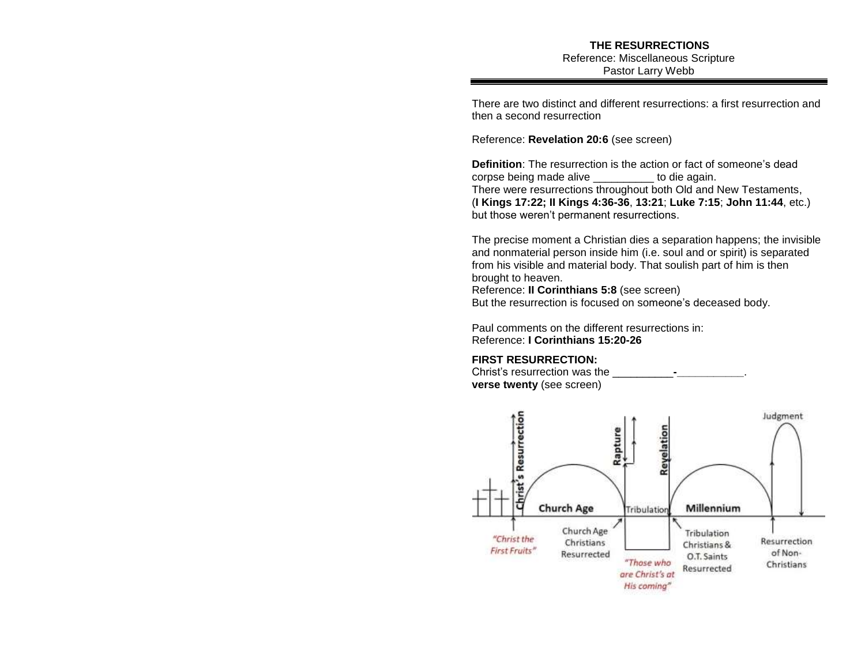There are two distinct and different resurrections: a first resurrection and then a second resurrection

Reference: **Revelation 20:6** (see screen)

**Definition**: The resurrection is the action or fact of someone's dead corpse being made alive to die again. There were resurrections throughout both Old and New Testaments, (**I Kings 17:22; II Kings 4:36-36**, **13:21**; **Luke 7:15**; **John 11:44**, etc.) but those weren't permanent resurrections.

The precise moment a Christian dies a separation happens; the invisible and nonmaterial person inside him (i.e. soul and or spirit) is separated from his visible and material body. That soulish part of him is then brought to heaven. Reference: **II Corinthians 5:8** (see screen) But the resurrection is focused on someone's deceased body.

Paul comments on the different resurrections in: Reference: **I Corinthians 15:20-26** 

## **FIRST RESURRECTION:**

Christ's resurrection was the \_\_\_\_\_\_\_\_\_\_**-\_\_\_\_\_\_\_\_\_\_\_**. **verse twenty** (see screen)